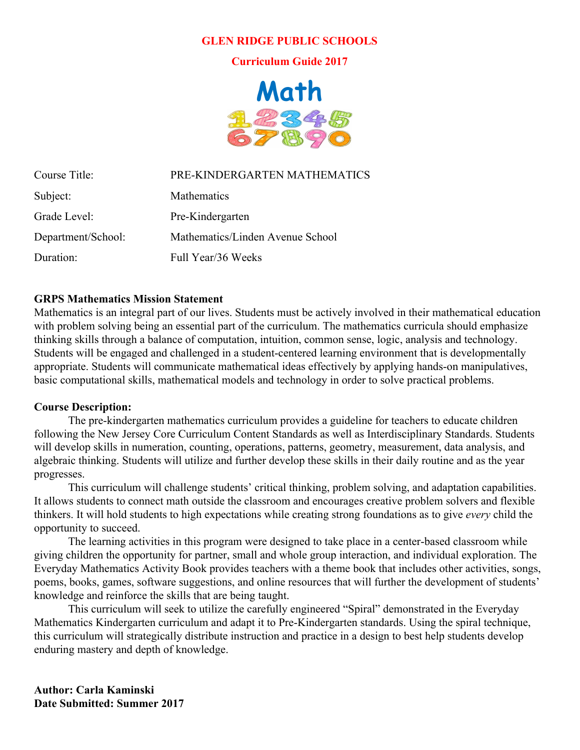#### **GLEN RIDGE PUBLIC SCHOOLS**

**Curriculum Guide 2017**



Course Title: PRE-KINDERGARTEN MATHEMATICS

| Subject:           | Mathematics                      |
|--------------------|----------------------------------|
| Grade Level:       | Pre-Kindergarten                 |
| Department/School: | Mathematics/Linden Avenue School |
| Duration:          | Full Year/36 Weeks               |

#### **GRPS Mathematics Mission Statement**

Mathematics is an integral part of our lives. Students must be actively involved in their mathematical education with problem solving being an essential part of the curriculum. The mathematics curricula should emphasize thinking skills through a balance of computation, intuition, common sense, logic, analysis and technology. Students will be engaged and challenged in a student-centered learning environment that is developmentally appropriate. Students will communicate mathematical ideas effectively by applying hands-on manipulatives, basic computational skills, mathematical models and technology in order to solve practical problems.

#### **Course Description:**

The pre-kindergarten mathematics curriculum provides a guideline for teachers to educate children following the New Jersey Core Curriculum Content Standards as well as Interdisciplinary Standards. Students will develop skills in numeration, counting, operations, patterns, geometry, measurement, data analysis, and algebraic thinking. Students will utilize and further develop these skills in their daily routine and as the year progresses.

This curriculum will challenge students' critical thinking, problem solving, and adaptation capabilities. It allows students to connect math outside the classroom and encourages creative problem solvers and flexible thinkers. It will hold students to high expectations while creating strong foundations as to give *every* child the opportunity to succeed.

The learning activities in this program were designed to take place in a center-based classroom while giving children the opportunity for partner, small and whole group interaction, and individual exploration. The Everyday Mathematics Activity Book provides teachers with a theme book that includes other activities, songs, poems, books, games, software suggestions, and online resources that will further the development of students' knowledge and reinforce the skills that are being taught.

This curriculum will seek to utilize the carefully engineered "Spiral" demonstrated in the Everyday Mathematics Kindergarten curriculum and adapt it to Pre-Kindergarten standards. Using the spiral technique, this curriculum will strategically distribute instruction and practice in a design to best help students develop enduring mastery and depth of knowledge.

**Author: Carla Kaminski Date Submitted: Summer 2017**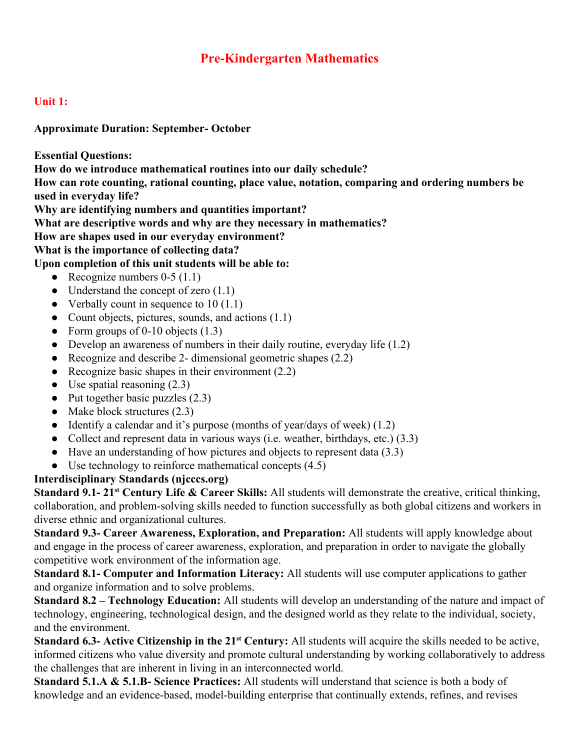# **Pre-Kindergarten Mathematics**

## **Unit 1:**

#### **Approximate Duration: September- October**

**Essential Questions:**

**How do we introduce mathematical routines into our daily schedule?**

**How can rote counting, rational counting, place value, notation, comparing and ordering numbers be used in everyday life?**

**Why are identifying numbers and quantities important?**

**What are descriptive words and why are they necessary in mathematics?**

**How are shapes used in our everyday environment?**

**What is the importance of collecting data?**

## **Upon completion of this unit students will be able to:**

- Recognize numbers  $0-5(1.1)$
- Understand the concept of zero  $(1.1)$
- Verbally count in sequence to  $10(1.1)$
- Count objects, pictures, sounds, and actions (1.1)
- Form groups of 0-10 objects  $(1.3)$
- Develop an awareness of numbers in their daily routine, everyday life  $(1.2)$
- Recognize and describe 2- dimensional geometric shapes  $(2.2)$
- Recognize basic shapes in their environment  $(2.2)$
- Use spatial reasoning  $(2.3)$
- $\bullet$  Put together basic puzzles  $(2.3)$
- Make block structures  $(2.3)$
- Identify a calendar and it's purpose (months of year/days of week) (1.2)
- Collect and represent data in various ways (i.e. weather, birthdays, etc.) (3.3)
- Have an understanding of how pictures and objects to represent data (3.3)
- Use technology to reinforce mathematical concepts  $(4.5)$

## **Interdisciplinary Standards (njcccs.org)**

**Standard 9.1- 21 st Century Life & Career Skills:** All students will demonstrate the creative, critical thinking, collaboration, and problem-solving skills needed to function successfully as both global citizens and workers in diverse ethnic and organizational cultures.

**Standard 9.3- Career Awareness, Exploration, and Preparation:** All students will apply knowledge about and engage in the process of career awareness, exploration, and preparation in order to navigate the globally competitive work environment of the information age.

**Standard 8.1- Computer and Information Literacy:** All students will use computer applications to gather and organize information and to solve problems.

**Standard 8.2 – Technology Education:** All students will develop an understanding of the nature and impact of technology, engineering, technological design, and the designed world as they relate to the individual, society, and the environment.

**Standard 6.3- Active Citizenship in the 21<sup>st</sup> Century:** All students will acquire the skills needed to be active, informed citizens who value diversity and promote cultural understanding by working collaboratively to address the challenges that are inherent in living in an interconnected world.

**Standard 5.1.A & 5.1.B- Science Practices:** All students will understand that science is both a body of knowledge and an evidence-based, model-building enterprise that continually extends, refines, and revises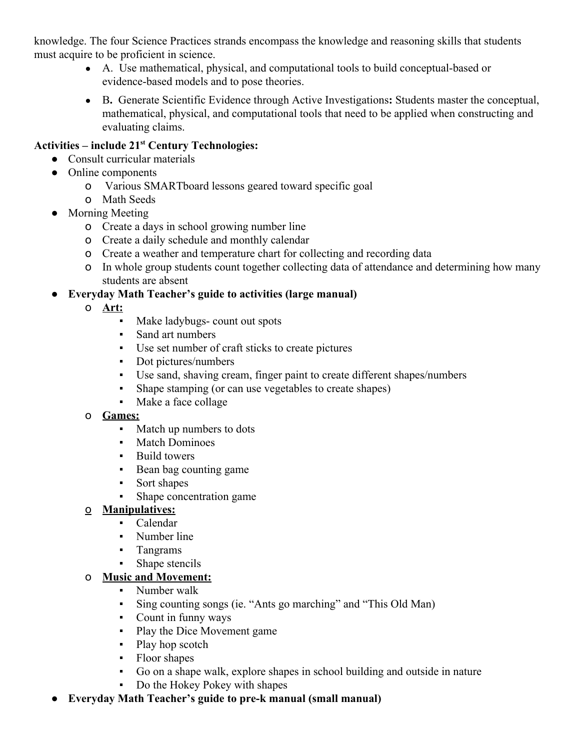knowledge. The four Science Practices strands encompass the knowledge and reasoning skills that students must acquire to be proficient in science.

- A. Use mathematical, physical, and computational tools to build conceptual-based or evidence-based models and to pose theories.
- B**.** Generate Scientific Evidence through Active Investigations**:** Students master the conceptual, mathematical, physical, and computational tools that need to be applied when constructing and evaluating claims.

# **Activities – include 21 st Century Technologies:**

- Consult curricular materials
- Online components
	- o Various SMARTboard lessons geared toward specific goal
	- o Math Seeds
- Morning Meeting
	- o Create a days in school growing number line
	- o Create a daily schedule and monthly calendar
	- o Create a weather and temperature chart for collecting and recording data
	- o In whole group students count together collecting data of attendance and determining how many students are absent

## ● **Everyday Math Teacher's guide to activities (large manual)**

- o **Art:**
	- Make ladybugs- count out spots
	- Sand art numbers
	- Use set number of craft sticks to create pictures
	- Dot pictures/numbers
	- Use sand, shaving cream, finger paint to create different shapes/numbers
	- Shape stamping (or can use vegetables to create shapes)
	- Make a face collage

## o **Games:**

- Match up numbers to dots
- Match Dominoes
- Build towers
- Bean bag counting game
- Sort shapes
- Shape concentration game

## o **Manipulatives:**

- Calendar
- Number line
- Tangrams
- Shape stencils

## o **Music and Movement:**

- Number walk
- Sing counting songs (ie. "Ants go marching" and "This Old Man)
- Count in funny ways
- Play the Dice Movement game
- Play hop scotch
- Floor shapes
- Go on a shape walk, explore shapes in school building and outside in nature
- Do the Hokey Pokey with shapes
- **Everyday Math Teacher's guide to pre-k manual (small manual)**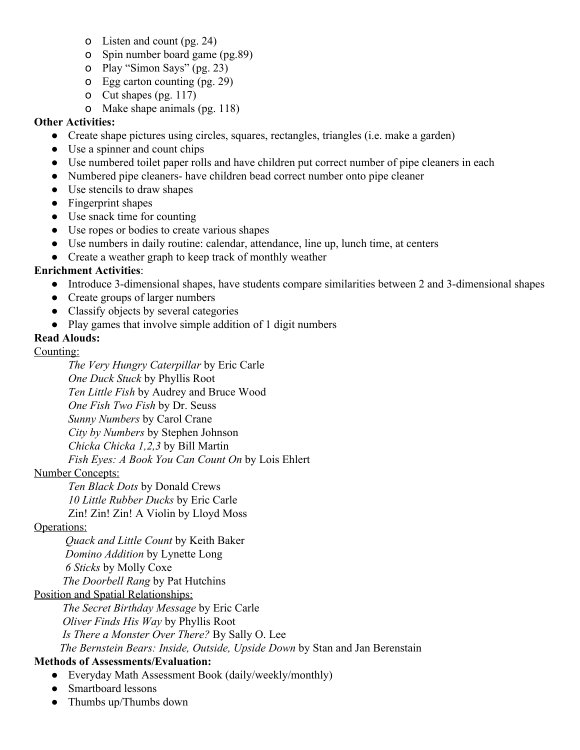- o Listen and count (pg. 24)
- o Spin number board game (pg.89)
- o Play "Simon Says" (pg. 23)
- o Egg carton counting (pg. 29)
- o Cut shapes (pg. 117)
- o Make shape animals (pg. 118)

## **Other Activities:**

- Create shape pictures using circles, squares, rectangles, triangles (i.e. make a garden)
- Use a spinner and count chips
- Use numbered toilet paper rolls and have children put correct number of pipe cleaners in each
- Numbered pipe cleaners- have children bead correct number onto pipe cleaner
- Use stencils to draw shapes
- Fingerprint shapes
- Use snack time for counting
- Use ropes or bodies to create various shapes
- Use numbers in daily routine: calendar, attendance, line up, lunch time, at centers
- Create a weather graph to keep track of monthly weather

## **Enrichment Activities**:

- Introduce 3-dimensional shapes, have students compare similarities between 2 and 3-dimensional shapes
- Create groups of larger numbers
- Classify objects by several categories
- Play games that involve simple addition of 1 digit numbers

## **Read Alouds:**

#### Counting:

*The Very Hungry Caterpillar* by Eric Carle *One Duck Stuck* by Phyllis Root *Ten Little Fish* by Audrey and Bruce Wood *One Fish Two Fish* by Dr. Seuss *Sunny Numbers* by Carol Crane *City by Numbers* by Stephen Johnson *Chicka Chicka 1,2,3* by Bill Martin *Fish Eyes: A Book You Can Count On* by Lois Ehlert

## Number Concepts:

*Ten Black Dots* by Donald Crews *10 Little Rubber Ducks* by Eric Carle Zin! Zin! Zin! A Violin by Lloyd Moss

## Operations:

*Quack and Little Count* by Keith Baker *Domino Addition* by Lynette Long *6 Sticks* by Molly Coxe *The Doorbell Rang* by Pat Hutchins

## Position and Spatial Relationships:

*The Secret Birthday Message* by Eric Carle *Oliver Finds His Way* by Phyllis Root *Is There a Monster Over There?* By Sally O. Lee *The Bernstein Bears: Inside, Outside, Upside Down* by Stan and Jan Berenstain

## **Methods of Assessments/Evaluation:**

- Everyday Math Assessment Book (daily/weekly/monthly)
- Smartboard lessons
- Thumbs up/Thumbs down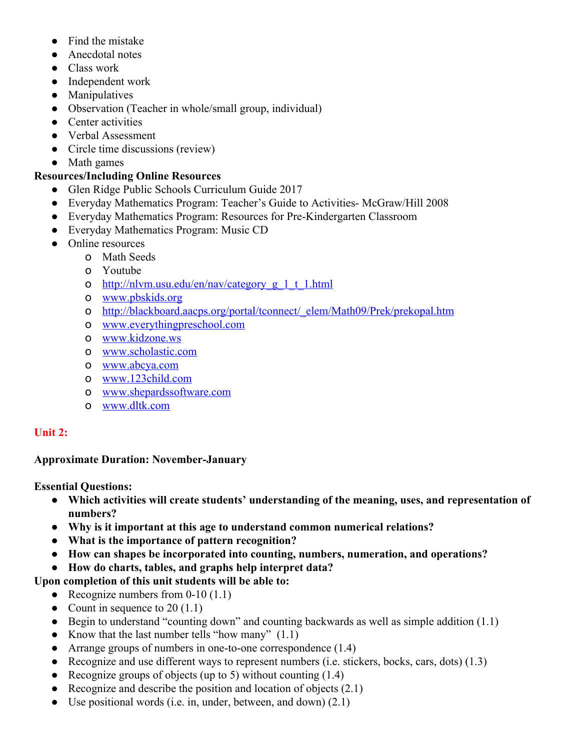- Find the mistake
- Anecdotal notes
- Class work
- Independent work
- Manipulatives
- Observation (Teacher in whole/small group, individual)
- Center activities
- Verbal Assessment
- Circle time discussions (review)
- Math games

#### **Resources/Including Online Resources**

- Glen Ridge Public Schools Curriculum Guide 2017
- Everyday Mathematics Program: Teacher's Guide to Activities- McGraw/Hill 2008
- Everyday Mathematics Program: Resources for Pre-Kindergarten Classroom
- Everyday Mathematics Program: Music CD
- Online resources
	- o Math Seeds
	- o Youtube
	- o [http://nlvm.usu.edu/en/nav/category\\_g\\_1\\_t\\_1.html](http://nlvm.usu.edu/en/nav/category_g_1_t_1.html)
	- o [www.pbskids.org](http://www.pbskids.org/)
	- o [http://blackboard.aacps.org/portal/tconnect/\\_elem/Math09/Prek/prekopal.htm](http://blackboard.aacps.org/portal/tconnect/_elem/Math09/Prek/prekopal.htm)
	- o [www.everythingpreschool.com](http://www.everythingpreschool.com/)
	- o [www.kidzone.ws](http://www.kidzone.ws/)
	- o [www.scholastic.com](http://www.scholastic.com/)
	- o [www.abcya.com](http://www.abcya.com/)
	- o [www.123child.com](http://www.123child.com/)
	- o [www.shepardssoftware.com](http://www.shepardssoftware.com/)
	- o [www.dltk.com](http://www.dltk.com/)

#### **Unit 2:**

#### **Approximate Duration: November-January**

**Essential Questions:**

- **Which activities will create students' understanding of the meaning, uses, and representation of numbers?**
- **Why is it important at this age to understand common numerical relations?**
- **What is the importance of pattern recognition?**
- **How can shapes be incorporated into counting, numbers, numeration, and operations?**
- **How do charts, tables, and graphs help interpret data?**

## **Upon completion of this unit students will be able to:**

- Recognize numbers from  $0-10(1.1)$
- Count in sequence to  $20(1.1)$
- Begin to understand "counting down" and counting backwards as well as simple addition  $(1.1)$
- Know that the last number tells "how many"  $(1.1)$
- Arrange groups of numbers in one-to-one correspondence (1.4)
- Recognize and use different ways to represent numbers (i.e. stickers, bocks, cars, dots)  $(1.3)$
- Recognize groups of objects (up to 5) without counting  $(1.4)$
- Recognize and describe the position and location of objects  $(2.1)$
- Use positional words (i.e. in, under, between, and down)  $(2.1)$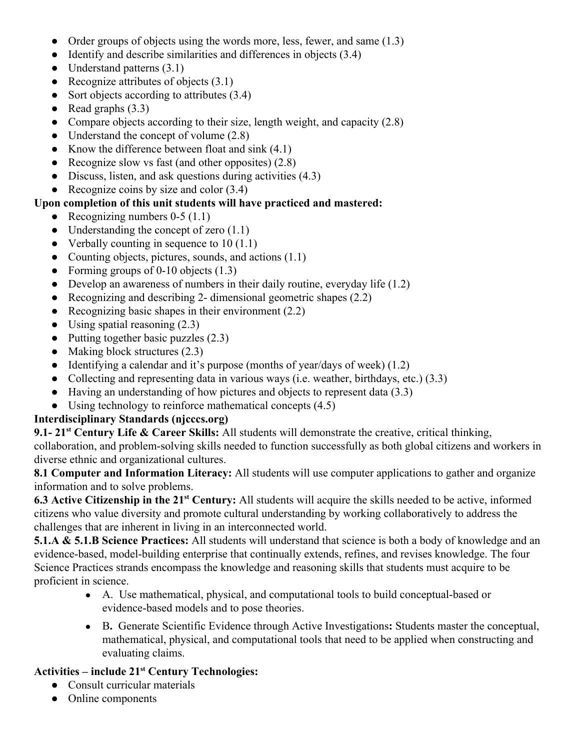- Order groups of objects using the words more, less, fewer, and same  $(1.3)$
- $\bullet$  Identify and describe similarities and differences in objects (3.4)
- Understand patterns  $(3.1)$
- Recognize attributes of objects  $(3.1)$
- Sort objects according to attributes (3.4)
- Read graphs  $(3.3)$
- Compare objects according to their size, length weight, and capacity  $(2.8)$
- Understand the concept of volume  $(2.8)$
- Know the difference between float and sink  $(4.1)$
- Recognize slow vs fast (and other opposites)  $(2.8)$
- Discuss, listen, and ask questions during activities (4.3)
- Recognize coins by size and color  $(3.4)$

## **Upon completion of this unit students will have practiced and mastered:**

- Recognizing numbers  $0-5(1.1)$
- Understanding the concept of zero  $(1.1)$
- Verbally counting in sequence to  $10(1.1)$
- Counting objects, pictures, sounds, and actions  $(1.1)$
- Forming groups of 0-10 objects  $(1.3)$
- Develop an awareness of numbers in their daily routine, everyday life  $(1.2)$
- Recognizing and describing 2- dimensional geometric shapes  $(2.2)$
- Recognizing basic shapes in their environment  $(2.2)$
- $\bullet$  Using spatial reasoning  $(2.3)$
- Putting together basic puzzles  $(2.3)$
- Making block structures  $(2.3)$
- Identifying a calendar and it's purpose (months of year/days of week)  $(1.2)$
- Collecting and representing data in various ways (i.e. weather, birthdays, etc.) (3.3)
- Having an understanding of how pictures and objects to represent data (3.3)
- Using technology to reinforce mathematical concepts  $(4.5)$

## **Interdisciplinary Standards (njcccs.org)**

**9.1- 21 st Century Life & Career Skills:** All students will demonstrate the creative, critical thinking, collaboration, and problem-solving skills needed to function successfully as both global citizens and workers in diverse ethnic and organizational cultures.

**8.1 Computer and Information Literacy:** All students will use computer applications to gather and organize information and to solve problems.

**6.3 Active Citizenship in the 21 st Century:** All students will acquire the skills needed to be active, informed citizens who value diversity and promote cultural understanding by working collaboratively to address the challenges that are inherent in living in an interconnected world.

**5.1.A & 5.1.B Science Practices:** All students will understand that science is both a body of knowledge and an evidence-based, model-building enterprise that continually extends, refines, and revises knowledge. The four Science Practices strands encompass the knowledge and reasoning skills that students must acquire to be proficient in science.

- A. Use mathematical, physical, and computational tools to build conceptual-based or evidence-based models and to pose theories.
- B**.** Generate Scientific Evidence through Active Investigations**:** Students master the conceptual, mathematical, physical, and computational tools that need to be applied when constructing and evaluating claims.

# **Activities – include 21 st Century Technologies:**

- Consult curricular materials
- Online components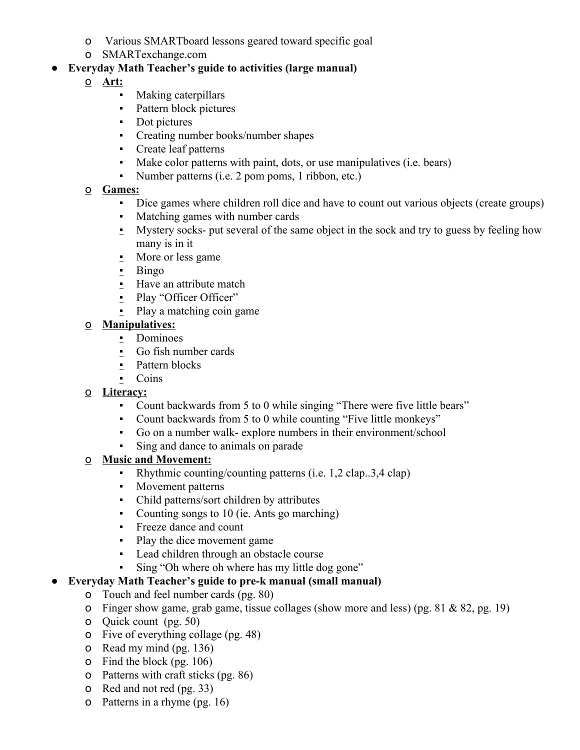- o Various SMARTboard lessons geared toward specific goal
- o SMARTexchange.com

## ● **Everyday Math Teacher's guide to activities (large manual)**

- o **Art:**
	- Making caterpillars
	- **•** Pattern block pictures
	- Dot pictures
	- Creating number books/number shapes
	- Create leaf patterns
	- Make color patterns with paint, dots, or use manipulatives (i.e. bears)
	- Number patterns (i.e. 2 pom poms, 1 ribbon, etc.)

## o **Games:**

- Dice games where children roll dice and have to count out various objects (create groups)
- Matching games with number cards
- **•** Mystery socks- put several of the same object in the sock and try to guess by feeling how many is in it
- More or less game
- Bingo
- **.** Have an attribute match
- Play "Officer Officer"
- $\blacksquare$  Play a matching coin game

## o **Manipulatives:**

- **•** Dominoes
- Go fish number cards
- **•** Pattern blocks
- Coins

## o **Literacy:**

- Count backwards from 5 to 0 while singing "There were five little bears"
- Count backwards from 5 to 0 while counting "Five little monkeys"
- Go on a number walk- explore numbers in their environment/school
- Sing and dance to animals on parade

## o **Music and Movement:**

- Rhythmic counting/counting patterns (i.e. 1,2 clap..3,4 clap)
- Movement patterns
- Child patterns/sort children by attributes
- Counting songs to 10 (ie. Ants go marching)
- Freeze dance and count
- Play the dice movement game
- Lead children through an obstacle course
- Sing "Oh where oh where has my little dog gone"

## ● **Everyday Math Teacher's guide to pre-k manual (small manual)**

- o Touch and feel number cards (pg. 80)
- o Finger show game, grab game, tissue collages (show more and less) (pg.  $81 & 82$ , pg. 19)
- o Quick count (pg. 50)
- o Five of everything collage (pg. 48)
- o Read my mind (pg. 136)
- o Find the block (pg. 106)
- o Patterns with craft sticks (pg. 86)
- o Red and not red (pg. 33)
- o Patterns in a rhyme (pg. 16)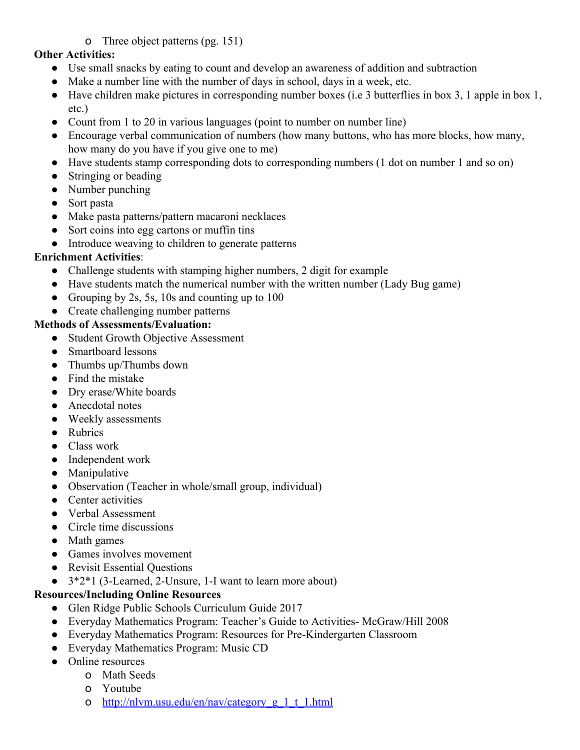## o Three object patterns (pg. 151)

#### **Other Activities:**

- Use small snacks by eating to count and develop an awareness of addition and subtraction
- Make a number line with the number of days in school, days in a week, etc.
- Have children make pictures in corresponding number boxes (i.e 3 butterflies in box 3, 1 apple in box 1, etc.)
- Count from 1 to 20 in various languages (point to number on number line)
- Encourage verbal communication of numbers (how many buttons, who has more blocks, how many, how many do you have if you give one to me)
- Have students stamp corresponding dots to corresponding numbers (1 dot on number 1 and so on)
- Stringing or beading
- Number punching
- Sort pasta
- Make pasta patterns/pattern macaroni necklaces
- Sort coins into egg cartons or muffin tins
- Introduce weaving to children to generate patterns

#### **Enrichment Activities**:

- Challenge students with stamping higher numbers, 2 digit for example
- Have students match the numerical number with the written number (Lady Bug game)
- Grouping by 2s, 5s, 10s and counting up to  $100$
- Create challenging number patterns

#### **Methods of Assessments/Evaluation:**

- Student Growth Objective Assessment
- Smartboard lessons
- Thumbs up/Thumbs down
- Find the mistake
- Dry erase/White boards
- Anecdotal notes
- Weekly assessments
- Rubrics
- Class work
- Independent work
- Manipulative
- Observation (Teacher in whole/small group, individual)
- Center activities
- Verbal Assessment
- Circle time discussions
- Math games
- Games involves movement
- Revisit Essential Questions
- 3\*2\*1 (3-Learned, 2-Unsure, 1-I want to learn more about)

## **Resources/Including Online Resources**

- Glen Ridge Public Schools Curriculum Guide 2017
- Everyday Mathematics Program: Teacher's Guide to Activities- McGraw/Hill 2008
- Everyday Mathematics Program: Resources for Pre-Kindergarten Classroom
- Everyday Mathematics Program: Music CD
- Online resources
	- o Math Seeds
	- o Youtube
	- o [http://nlvm.usu.edu/en/nav/category\\_g\\_1\\_t\\_1.html](http://nlvm.usu.edu/en/nav/category_g_1_t_1.html)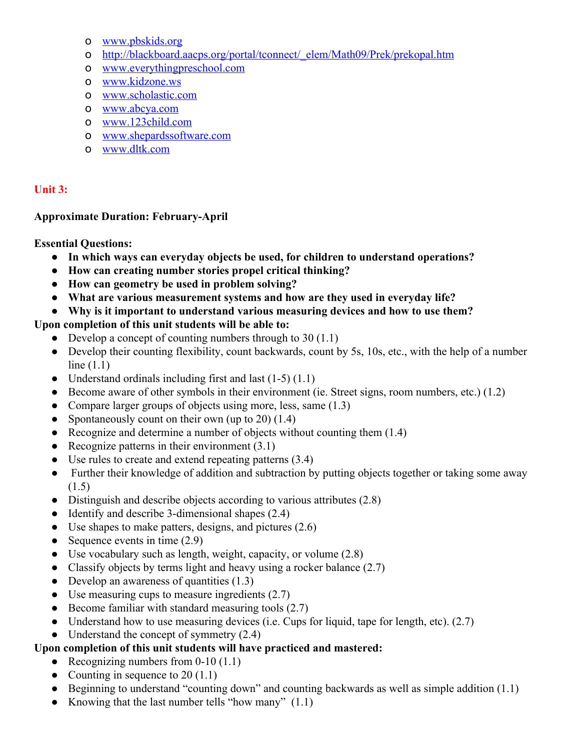- o [www.pbskids.org](http://www.pbskids.org/)
- o [http://blackboard.aacps.org/portal/tconnect/\\_elem/Math09/Prek/prekopal.htm](http://blackboard.aacps.org/portal/tconnect/_elem/Math09/Prek/prekopal.htm)
- o [www.everythingpreschool.com](http://www.everythingpreschool.com/)
- o [www.kidzone.ws](http://www.kidzone.ws/)
- o [www.scholastic.com](http://www.scholastic.com/)
- o [www.abcya.com](http://www.abcya.com/)
- o [www.123child.com](http://www.123child.com/)
- o [www.shepardssoftware.com](http://www.shepardssoftware.com/)
- o [www.dltk.com](http://www.dltk.com/)

## **Unit 3:**

#### **Approximate Duration: February-April**

#### **Essential Questions:**

- **In which ways can everyday objects be used, for children to understand operations?**
- **How can creating number stories propel critical thinking?**
- **How can geometry be used in problem solving?**
- **What are various measurement systems and how are they used in everyday life?**
- **Why is it important to understand various measuring devices and how to use them?**

## **Upon completion of this unit students will be able to:**

- Develop a concept of counting numbers through to  $30(1.1)$
- Develop their counting flexibility, count backwards, count by 5s, 10s, etc., with the help of a number line (1.1)
- Understand ordinals including first and last  $(1-5)$   $(1.1)$
- Become aware of other symbols in their environment (ie. Street signs, room numbers, etc.) (1.2)
- Compare larger groups of objects using more, less, same (1.3)
- Spontaneously count on their own (up to 20)  $(1.4)$
- Recognize and determine a number of objects without counting them  $(1.4)$
- Recognize patterns in their environment  $(3.1)$
- Use rules to create and extend repeating patterns (3.4)
- Further their knowledge of addition and subtraction by putting objects together or taking some away (1.5)
- Distinguish and describe objects according to various attributes (2.8)
- Identify and describe 3-dimensional shapes (2.4)
- $\bullet$  Use shapes to make patters, designs, and pictures (2.6)
- Sequence events in time  $(2.9)$
- $\bullet$  Use vocabulary such as length, weight, capacity, or volume (2.8)
- Classify objects by terms light and heavy using a rocker balance (2.7)
- Develop an awareness of quantities  $(1.3)$
- Use measuring cups to measure ingredients  $(2.7)$
- Become familiar with standard measuring tools  $(2.7)$
- Understand how to use measuring devices (i.e. Cups for liquid, tape for length, etc).  $(2.7)$
- Understand the concept of symmetry  $(2.4)$

## **Upon completion of this unit students will have practiced and mastered:**

- Recognizing numbers from  $0-10(1.1)$
- Counting in sequence to  $20(1.1)$
- Beginning to understand "counting down" and counting backwards as well as simple addition  $(1.1)$
- Knowing that the last number tells "how many" (1.1)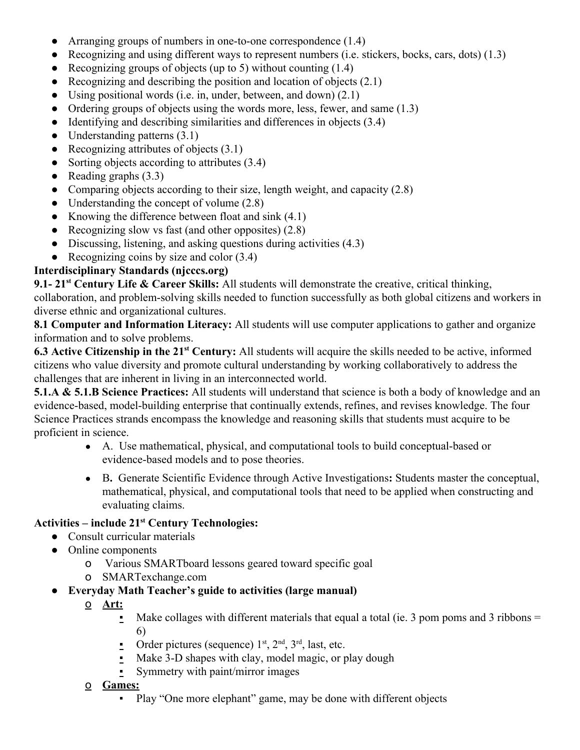- Arranging groups of numbers in one-to-one correspondence (1.4)
- Recognizing and using different ways to represent numbers (i.e. stickers, bocks, cars, dots)  $(1.3)$
- Recognizing groups of objects (up to 5) without counting  $(1.4)$
- Recognizing and describing the position and location of objects  $(2.1)$
- Using positional words (i.e. in, under, between, and down)  $(2.1)$
- Ordering groups of objects using the words more, less, fewer, and same  $(1.3)$
- Identifying and describing similarities and differences in objects (3.4)
- Understanding patterns  $(3.1)$
- Recognizing attributes of objects  $(3.1)$
- Sorting objects according to attributes (3.4)
- Reading graphs  $(3.3)$
- Comparing objects according to their size, length weight, and capacity  $(2.8)$
- Understanding the concept of volume  $(2.8)$
- Knowing the difference between float and sink  $(4.1)$
- Recognizing slow vs fast (and other opposites)  $(2.8)$
- Discussing, listening, and asking questions during activities (4.3)
- Recognizing coins by size and color  $(3.4)$

## **Interdisciplinary Standards (njcccs.org)**

**9.1- 21 st Century Life & Career Skills:** All students will demonstrate the creative, critical thinking, collaboration, and problem-solving skills needed to function successfully as both global citizens and workers in diverse ethnic and organizational cultures.

**8.1 Computer and Information Literacy:** All students will use computer applications to gather and organize information and to solve problems.

**6.3 Active Citizenship in the 21 st Century:** All students will acquire the skills needed to be active, informed citizens who value diversity and promote cultural understanding by working collaboratively to address the challenges that are inherent in living in an interconnected world.

**5.1.A & 5.1.B Science Practices:** All students will understand that science is both a body of knowledge and an evidence-based, model-building enterprise that continually extends, refines, and revises knowledge. The four Science Practices strands encompass the knowledge and reasoning skills that students must acquire to be proficient in science.

- A. Use mathematical, physical, and computational tools to build conceptual-based or evidence-based models and to pose theories.
- B**.** Generate Scientific Evidence through Active Investigations**:** Students master the conceptual, mathematical, physical, and computational tools that need to be applied when constructing and evaluating claims.

# **Activities – include 21 st Century Technologies:**

- Consult curricular materials
- Online components
	- o Various SMARTboard lessons geared toward specific goal
	- o SMARTexchange.com
- **Everyday Math Teacher's guide to activities (large manual)**
	- o **Art:**
		- $\blacksquare$  Make collages with different materials that equal a total (ie. 3 pom poms and 3 ribbons = 6)
		- Order pictures (sequence)  $1^{st}$ ,  $2^{nd}$ ,  $3^{rd}$ , last, etc.
		- Make 3-D shapes with clay, model magic, or play dough
		- **•** Symmetry with paint/mirror images
	- o **Games:**
		- Play "One more elephant" game, may be done with different objects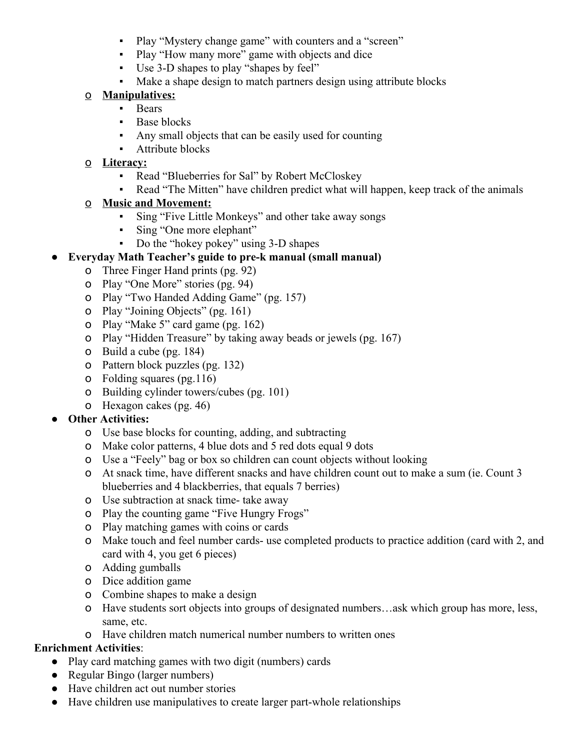- Play "Mystery change game" with counters and a "screen"
- Play "How many more" game with objects and dice
- Use 3-D shapes to play "shapes by feel"
- Make a shape design to match partners design using attribute blocks

## o **Manipulatives:**

- Bears
- **•** Base blocks
- Any small objects that can be easily used for counting
- **•** Attribute blocks

## o **Literacy:**

- Read "Blueberries for Sal" by Robert McCloskey
- Read "The Mitten" have children predict what will happen, keep track of the animals
- o **Music and Movement:**
	- Sing "Five Little Monkeys" and other take away songs
	- Sing "One more elephant"
	- Do the "hokey pokey" using 3-D shapes

## ● **Everyday Math Teacher's guide to pre-k manual (small manual)**

- o Three Finger Hand prints (pg. 92)
- o Play "One More" stories (pg. 94)
- o Play "Two Handed Adding Game" (pg. 157)
- o Play "Joining Objects" (pg. 161)
- o Play "Make 5" card game (pg. 162)
- o Play "Hidden Treasure" by taking away beads or jewels (pg. 167)
- o Build a cube (pg. 184)
- o Pattern block puzzles (pg. 132)
- o Folding squares (pg.116)
- o Building cylinder towers/cubes (pg. 101)
- o Hexagon cakes (pg. 46)

## ● **Other Activities:**

- o Use base blocks for counting, adding, and subtracting
- o Make color patterns, 4 blue dots and 5 red dots equal 9 dots
- o Use a "Feely" bag or box so children can count objects without looking
- o At snack time, have different snacks and have children count out to make a sum (ie. Count 3 blueberries and 4 blackberries, that equals 7 berries)
- o Use subtraction at snack time- take away
- o Play the counting game "Five Hungry Frogs"
- o Play matching games with coins or cards
- o Make touch and feel number cards- use completed products to practice addition (card with 2, and card with 4, you get 6 pieces)
- o Adding gumballs
- o Dice addition game
- o Combine shapes to make a design
- o Have students sort objects into groups of designated numbers…ask which group has more, less, same, etc.
- o Have children match numerical number numbers to written ones

## **Enrichment Activities**:

- Play card matching games with two digit (numbers) cards
- Regular Bingo (larger numbers)
- Have children act out number stories
- Have children use manipulatives to create larger part-whole relationships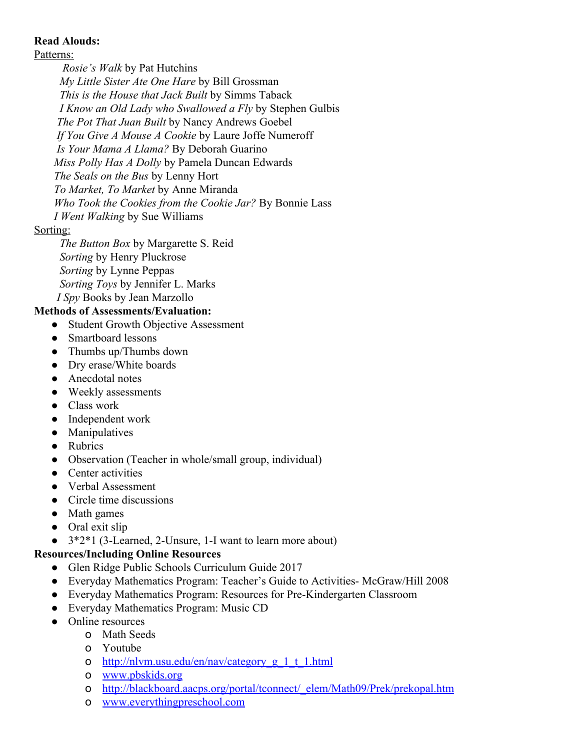## **Read Alouds:**

Patterns:

*Rosie's Walk* by Pat Hutchins

*My Little Sister Ate One Hare* by Bill Grossman

*This is the House that Jack Built* by Simms Taback

*I Know an Old Lady who Swallowed a Fly* by Stephen Gulbis

*The Pot That Juan Built* by Nancy Andrews Goebel

*If You Give A Mouse A Cookie* by Laure Joffe Numeroff

*Is Your Mama A Llama?* By Deborah Guarino

*Miss Polly Has A Dolly* by Pamela Duncan Edwards

*The Seals on the Bus* by Lenny Hort

*To Market, To Market* by Anne Miranda

*Who Took the Cookies from the Cookie Jar?* By Bonnie Lass

*I Went Walking* by Sue Williams

## Sorting:

*The Button Box* by Margarette S. Reid *Sorting* by Henry Pluckrose *Sorting* by Lynne Peppas *Sorting Toys* by Jennifer L. Marks *I Spy* Books by Jean Marzollo

## **Methods of Assessments/Evaluation:**

- Student Growth Objective Assessment
- Smartboard lessons
- Thumbs up/Thumbs down
- Dry erase/White boards
- Anecdotal notes
- Weekly assessments
- Class work
- Independent work
- Manipulatives
- Rubrics
- Observation (Teacher in whole/small group, individual)
- Center activities
- Verbal Assessment
- Circle time discussions
- Math games
- Oral exit slip
- 3\*2\*1 (3-Learned, 2-Unsure, 1-I want to learn more about)

## **Resources/Including Online Resources**

- Glen Ridge Public Schools Curriculum Guide 2017
- Everyday Mathematics Program: Teacher's Guide to Activities- McGraw/Hill 2008
- Everyday Mathematics Program: Resources for Pre-Kindergarten Classroom
- Everyday Mathematics Program: Music CD
- Online resources
	- o Math Seeds
	- o Youtube
	- o [http://nlvm.usu.edu/en/nav/category\\_g\\_1\\_t\\_1.html](http://nlvm.usu.edu/en/nav/category_g_1_t_1.html)
	- o [www.pbskids.org](http://www.pbskids.org/)
	- o [http://blackboard.aacps.org/portal/tconnect/\\_elem/Math09/Prek/prekopal.htm](http://blackboard.aacps.org/portal/tconnect/_elem/Math09/Prek/prekopal.htm)
	- o [www.everythingpreschool.com](http://www.everythingpreschool.com/)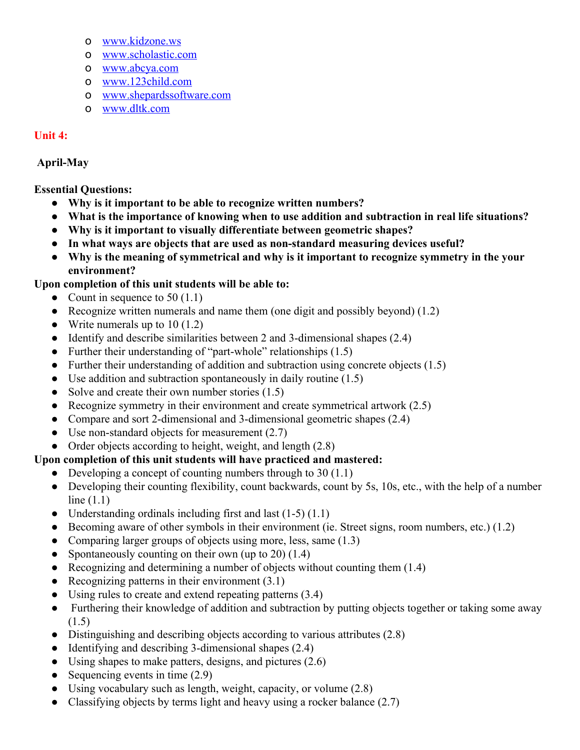- o [www.kidzone.ws](http://www.kidzone.ws/)
- o [www.scholastic.com](http://www.scholastic.com/)
- o [www.abcya.com](http://www.abcya.com/)
- o [www.123child.com](http://www.123child.com/)
- o [www.shepardssoftware.com](http://www.shepardssoftware.com/)
- o [www.dltk.com](http://www.dltk.com/)

## **Unit 4:**

## **April-May**

## **Essential Questions:**

- **Why is it important to be able to recognize written numbers?**
- **What is the importance of knowing when to use addition and subtraction in real life situations?**
- **Why is it important to visually differentiate between geometric shapes?**
- **In what ways are objects that are used as non-standard measuring devices useful?**
- **Why is the meaning of symmetrical and why is it important to recognize symmetry in the your environment?**

## **Upon completion of this unit students will be able to:**

- Count in sequence to  $50(1.1)$
- Recognize written numerals and name them (one digit and possibly beyond) (1.2)
- Write numerals up to  $10(1.2)$
- Identify and describe similarities between 2 and 3-dimensional shapes (2.4)
- Further their understanding of "part-whole" relationships (1.5)
- Further their understanding of addition and subtraction using concrete objects  $(1.5)$
- Use addition and subtraction spontaneously in daily routine  $(1.5)$
- Solve and create their own number stories (1.5)
- Recognize symmetry in their environment and create symmetrical artwork  $(2.5)$
- Compare and sort 2-dimensional and 3-dimensional geometric shapes (2.4)
- Use non-standard objects for measurement  $(2.7)$
- Order objects according to height, weight, and length (2.8)

## **Upon completion of this unit students will have practiced and mastered:**

- Developing a concept of counting numbers through to  $30(1.1)$
- Developing their counting flexibility, count backwards, count by 5s, 10s, etc., with the help of a number line (1.1)
- Understanding ordinals including first and last  $(1-5)$   $(1.1)$
- Becoming aware of other symbols in their environment (ie. Street signs, room numbers, etc.) (1.2)
- Comparing larger groups of objects using more, less, same (1.3)
- Spontaneously counting on their own (up to 20)  $(1.4)$
- Recognizing and determining a number of objects without counting them  $(1.4)$
- Recognizing patterns in their environment  $(3.1)$
- Using rules to create and extend repeating patterns (3.4)
- Furthering their knowledge of addition and subtraction by putting objects together or taking some away (1.5)
- Distinguishing and describing objects according to various attributes (2.8)
- Identifying and describing 3-dimensional shapes  $(2.4)$
- $\bullet$  Using shapes to make patters, designs, and pictures (2.6)
- Sequencing events in time  $(2.9)$
- $\bullet$  Using vocabulary such as length, weight, capacity, or volume (2.8)
- Classifying objects by terms light and heavy using a rocker balance  $(2.7)$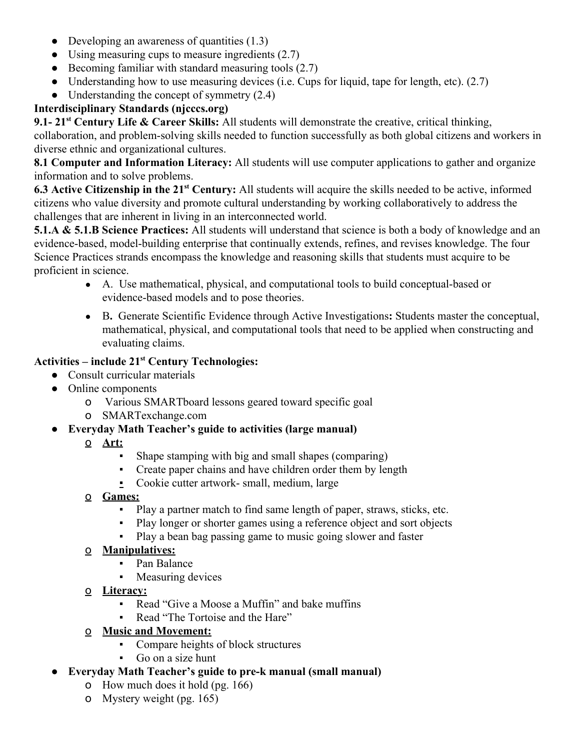- Developing an awareness of quantities  $(1.3)$
- Using measuring cups to measure ingredients  $(2.7)$
- Becoming familiar with standard measuring tools  $(2.7)$
- Understanding how to use measuring devices (i.e. Cups for liquid, tape for length, etc).  $(2.7)$
- Understanding the concept of symmetry  $(2.4)$

## **Interdisciplinary Standards (njcccs.org)**

**9.1- 21 st Century Life & Career Skills:** All students will demonstrate the creative, critical thinking, collaboration, and problem-solving skills needed to function successfully as both global citizens and workers in diverse ethnic and organizational cultures.

**8.1 Computer and Information Literacy:** All students will use computer applications to gather and organize information and to solve problems.

**6.3 Active Citizenship in the 21 st Century:** All students will acquire the skills needed to be active, informed citizens who value diversity and promote cultural understanding by working collaboratively to address the challenges that are inherent in living in an interconnected world.

**5.1.A & 5.1.B Science Practices:** All students will understand that science is both a body of knowledge and an evidence-based, model-building enterprise that continually extends, refines, and revises knowledge. The four Science Practices strands encompass the knowledge and reasoning skills that students must acquire to be proficient in science.

- A. Use mathematical, physical, and computational tools to build conceptual-based or evidence-based models and to pose theories.
- B**.** Generate Scientific Evidence through Active Investigations**:** Students master the conceptual, mathematical, physical, and computational tools that need to be applied when constructing and evaluating claims.

# **Activities – include 21 st Century Technologies:**

- Consult curricular materials
- Online components
	- o Various SMARTboard lessons geared toward specific goal
	- o SMARTexchange.com
- **Everyday Math Teacher's guide to activities (large manual)**
	- o **Art:**
		- Shape stamping with big and small shapes (comparing)
		- Create paper chains and have children order them by length
		- Cookie cutter artwork- small, medium, large
	- o **Games:**
		- Play a partner match to find same length of paper, straws, sticks, etc.
		- Play longer or shorter games using a reference object and sort objects
		- Play a bean bag passing game to music going slower and faster

## o **Manipulatives:**

- Pan Balance
- Measuring devices
- o **Literacy:**
	- Read "Give a Moose a Muffin" and bake muffins
	- Read "The Tortoise and the Hare"
- o **Music and Movement:**
	- Compare heights of block structures
	- Go on a size hunt
- **Everyday Math Teacher's guide to pre-k manual (small manual)**
	- o How much does it hold (pg. 166)
	- o Mystery weight (pg. 165)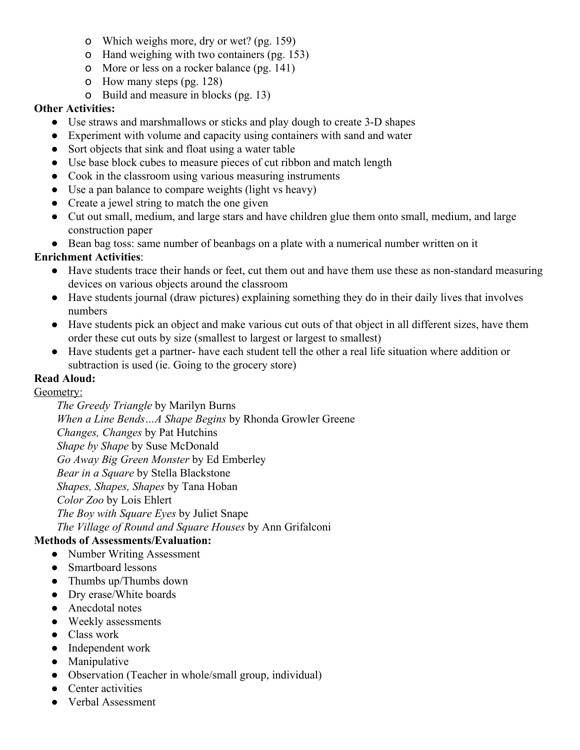- o Which weighs more, dry or wet? (pg. 159)
- o Hand weighing with two containers (pg. 153)
- o More or less on a rocker balance (pg. 141)
- o How many steps (pg. 128)
- o Build and measure in blocks (pg. 13)

#### **Other Activities:**

- Use straws and marshmallows or sticks and play dough to create 3-D shapes
- Experiment with volume and capacity using containers with sand and water
- Sort objects that sink and float using a water table
- Use base block cubes to measure pieces of cut ribbon and match length
- Cook in the classroom using various measuring instruments
- Use a pan balance to compare weights (light vs heavy)
- Create a jewel string to match the one given
- Cut out small, medium, and large stars and have children glue them onto small, medium, and large construction paper
- Bean bag toss: same number of beanbags on a plate with a numerical number written on it

## **Enrichment Activities**:

- Have students trace their hands or feet, cut them out and have them use these as non-standard measuring devices on various objects around the classroom
- Have students journal (draw pictures) explaining something they do in their daily lives that involves numbers
- Have students pick an object and make various cut outs of that object in all different sizes, have them order these cut outs by size (smallest to largest or largest to smallest)
- Have students get a partner- have each student tell the other a real life situation where addition or subtraction is used (ie. Going to the grocery store)

## **Read Aloud:**

## Geometry:

*The Greedy Triangle* by Marilyn Burns *When a Line Bends…A Shape Begins* by Rhonda Growler Greene *Changes, Changes* by Pat Hutchins *Shape by Shape* by Suse McDonald *Go Away Big Green Monster* by Ed Emberley *Bear in a Square* by Stella Blackstone *Shapes, Shapes, Shapes* by Tana Hoban *Color Zoo* by Lois Ehlert *The Boy with Square Eyes* by Juliet Snape *The Village of Round and Square Houses* by Ann Grifalconi

## **Methods of Assessments/Evaluation:**

- Number Writing Assessment
- Smartboard lessons
- Thumbs up/Thumbs down
- Dry erase/White boards
- Anecdotal notes
- Weekly assessments
- Class work
- Independent work
- Manipulative
- Observation (Teacher in whole/small group, individual)
- Center activities
- Verbal Assessment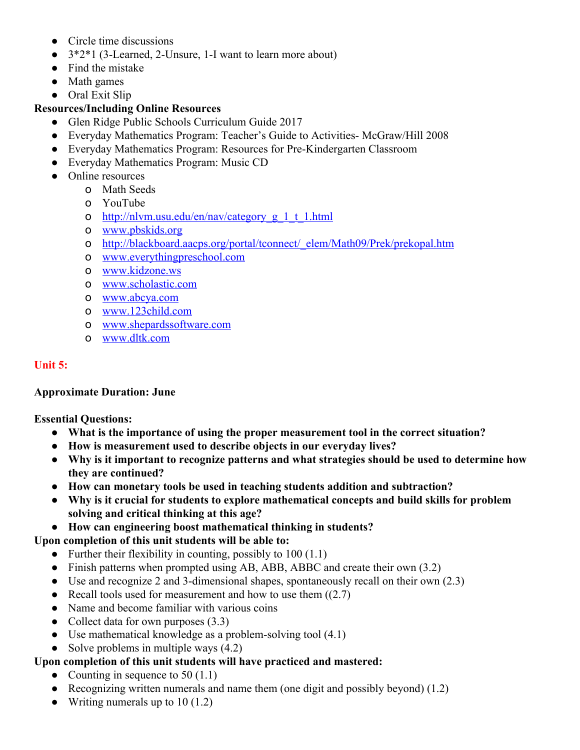- Circle time discussions
- 3\*2\*1 (3-Learned, 2-Unsure, 1-I want to learn more about)
- Find the mistake
- Math games
- Oral Exit Slip

#### **Resources/Including Online Resources**

- Glen Ridge Public Schools Curriculum Guide 2017
- Everyday Mathematics Program: Teacher's Guide to Activities- McGraw/Hill 2008
- Everyday Mathematics Program: Resources for Pre-Kindergarten Classroom
- Everyday Mathematics Program: Music CD
- Online resources
	- o Math Seeds
	- o YouTube
	- o [http://nlvm.usu.edu/en/nav/category\\_g\\_1\\_t\\_1.html](http://nlvm.usu.edu/en/nav/category_g_1_t_1.html)
	- o [www.pbskids.org](http://www.pbskids.org/)
	- o [http://blackboard.aacps.org/portal/tconnect/\\_elem/Math09/Prek/prekopal.htm](http://blackboard.aacps.org/portal/tconnect/_elem/Math09/Prek/prekopal.htm)
	- o [www.everythingpreschool.com](http://www.everythingpreschool.com/)
	- o [www.kidzone.ws](http://www.kidzone.ws/)
	- o [www.scholastic.com](http://www.scholastic.com/)
	- o [www.abcya.com](http://www.abcya.com/)
	- o [www.123child.com](http://www.123child.com/)
	- o [www.shepardssoftware.com](http://www.shepardssoftware.com/)
	- o [www.dltk.com](http://www.dltk.com/)

#### **Unit 5:**

#### **Approximate Duration: June**

**Essential Questions:**

- **What is the importance of using the proper measurement tool in the correct situation?**
- **How is measurement used to describe objects in our everyday lives?**
- **Why is it important to recognize patterns and what strategies should be used to determine how they are continued?**
- **How can monetary tools be used in teaching students addition and subtraction?**
- **Why is it crucial for students to explore mathematical concepts and build skills for problem solving and critical thinking at this age?**
- **How can engineering boost mathematical thinking in students?**

## **Upon completion of this unit students will be able to:**

- Further their flexibility in counting, possibly to  $100(1.1)$
- Finish patterns when prompted using AB, ABB, ABBC and create their own (3.2)
- Use and recognize 2 and 3-dimensional shapes, spontaneously recall on their own (2.3)
- Recall tools used for measurement and how to use them  $((2.7)$
- Name and become familiar with various coins
- Collect data for own purposes (3.3)
- Use mathematical knowledge as a problem-solving tool (4.1)
- Solve problems in multiple ways  $(4.2)$

## **Upon completion of this unit students will have practiced and mastered:**

- Counting in sequence to  $50(1.1)$
- Recognizing written numerals and name them (one digit and possibly beyond)  $(1.2)$
- Writing numerals up to  $10(1.2)$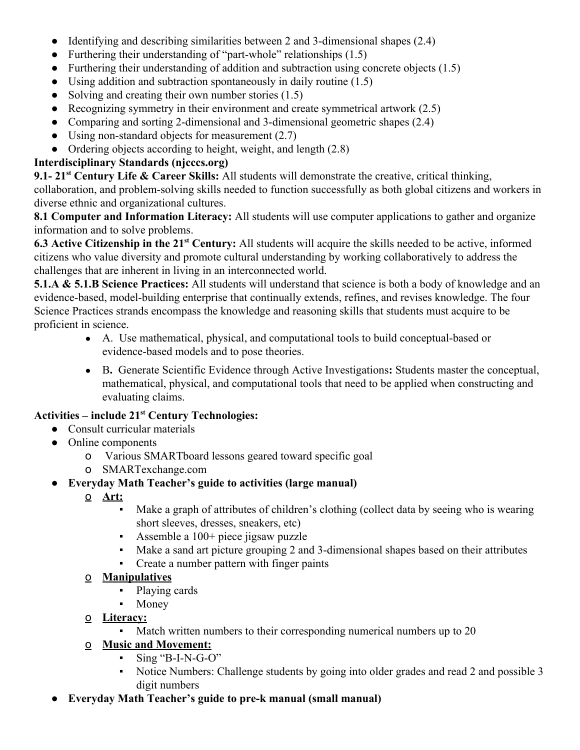- Identifying and describing similarities between 2 and 3-dimensional shapes (2.4)
- Furthering their understanding of "part-whole" relationships  $(1.5)$
- Furthering their understanding of addition and subtraction using concrete objects  $(1.5)$
- Using addition and subtraction spontaneously in daily routine  $(1.5)$
- Solving and creating their own number stories  $(1.5)$
- Recognizing symmetry in their environment and create symmetrical artwork  $(2.5)$
- Comparing and sorting 2-dimensional and 3-dimensional geometric shapes (2.4)
- Using non-standard objects for measurement (2.7)
- Ordering objects according to height, weight, and length (2.8)

## **Interdisciplinary Standards (njcccs.org)**

**9.1- 21 st Century Life & Career Skills:** All students will demonstrate the creative, critical thinking, collaboration, and problem-solving skills needed to function successfully as both global citizens and workers in diverse ethnic and organizational cultures.

**8.1 Computer and Information Literacy:** All students will use computer applications to gather and organize information and to solve problems.

**6.3 Active Citizenship in the 21 st Century:** All students will acquire the skills needed to be active, informed citizens who value diversity and promote cultural understanding by working collaboratively to address the challenges that are inherent in living in an interconnected world.

**5.1.A & 5.1.B Science Practices:** All students will understand that science is both a body of knowledge and an evidence-based, model-building enterprise that continually extends, refines, and revises knowledge. The four Science Practices strands encompass the knowledge and reasoning skills that students must acquire to be proficient in science.

- A. Use mathematical, physical, and computational tools to build conceptual-based or evidence-based models and to pose theories.
- B**.** Generate Scientific Evidence through Active Investigations**:** Students master the conceptual, mathematical, physical, and computational tools that need to be applied when constructing and evaluating claims.

# **Activities – include 21 st Century Technologies:**

- Consult curricular materials
- Online components
	- o Various SMARTboard lessons geared toward specific goal
	- o SMARTexchange.com

## ● **Everyday Math Teacher's guide to activities (large manual)**

- o **Art:**
	- Make a graph of attributes of children's clothing (collect data by seeing who is wearing short sleeves, dresses, sneakers, etc)
	- Assemble a 100+ piece jigsaw puzzle
	- Make a sand art picture grouping 2 and 3-dimensional shapes based on their attributes
	- Create a number pattern with finger paints

## o **Manipulatives**

- Playing cards
- Money
- o **Literacy:**
	- Match written numbers to their corresponding numerical numbers up to 20

# o **Music and Movement:**

- $Sine 'B-I-N-G-O'$
- Notice Numbers: Challenge students by going into older grades and read 2 and possible 3 digit numbers
- **Everyday Math Teacher's guide to pre-k manual (small manual)**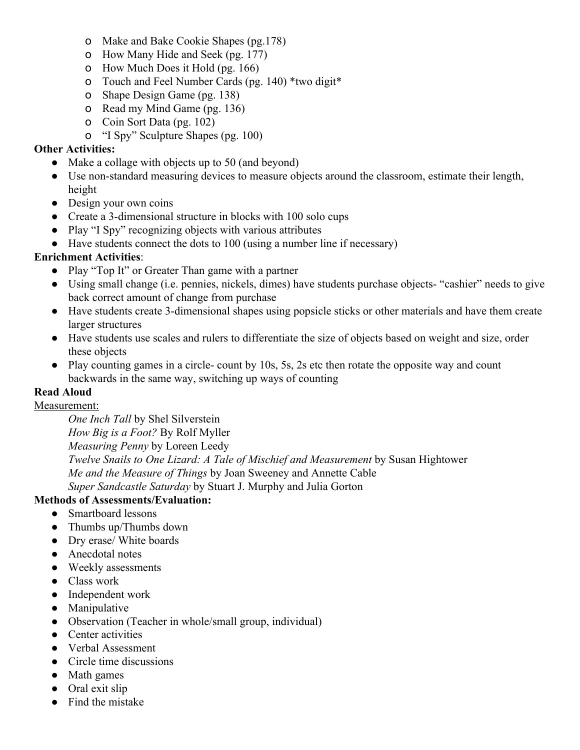- o Make and Bake Cookie Shapes (pg.178)
- o How Many Hide and Seek (pg. 177)
- o How Much Does it Hold (pg. 166)
- o Touch and Feel Number Cards (pg. 140) \*two digit\*
- o Shape Design Game (pg. 138)
- o Read my Mind Game (pg. 136)
- o Coin Sort Data (pg. 102)
- o "I Spy" Sculpture Shapes (pg. 100)

#### **Other Activities:**

- Make a collage with objects up to 50 (and beyond)
- Use non-standard measuring devices to measure objects around the classroom, estimate their length, height
- Design your own coins
- Create a 3-dimensional structure in blocks with 100 solo cups
- Play "I Spy" recognizing objects with various attributes
- Have students connect the dots to 100 (using a number line if necessary)

#### **Enrichment Activities**:

- Play "Top It" or Greater Than game with a partner
- Using small change (i.e. pennies, nickels, dimes) have students purchase objects- "cashier" needs to give back correct amount of change from purchase
- Have students create 3-dimensional shapes using popsicle sticks or other materials and have them create larger structures
- Have students use scales and rulers to differentiate the size of objects based on weight and size, order these objects
- Play counting games in a circle- count by 10s, 5s, 2s etc then rotate the opposite way and count backwards in the same way, switching up ways of counting

## **Read Aloud**

#### Measurement:

*One Inch Tall* by Shel Silverstein *How Big is a Foot?* By Rolf Myller *Measuring Penny* by Loreen Leedy *Twelve Snails to One Lizard: A Tale of Mischief and Measurement* by Susan Hightower *Me and the Measure of Things* by Joan Sweeney and Annette Cable *Super Sandcastle Saturday* by Stuart J. Murphy and Julia Gorton

## **Methods of Assessments/Evaluation:**

- Smartboard lessons
- Thumbs up/Thumbs down
- Dry erase/ White boards
- Anecdotal notes
- Weekly assessments
- Class work
- Independent work
- Manipulative
- Observation (Teacher in whole/small group, individual)
- Center activities
- Verbal Assessment
- Circle time discussions
- Math games
- Oral exit slip
- Find the mistake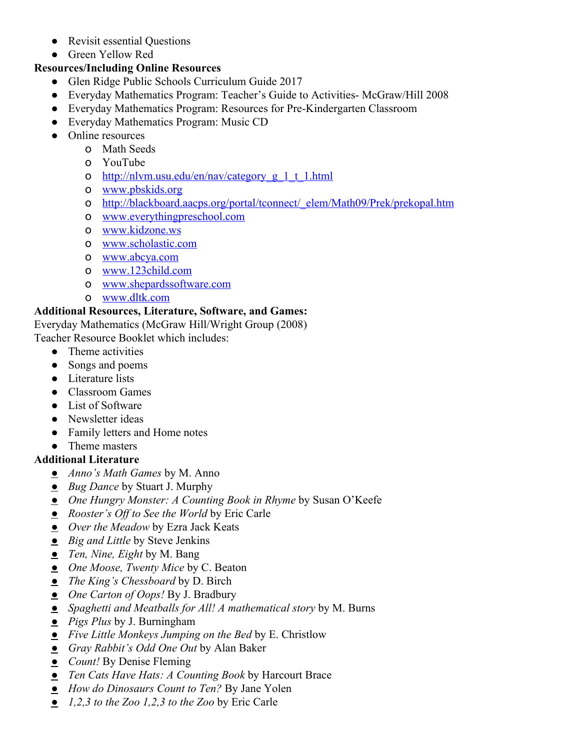- Revisit essential Questions
- Green Yellow Red

## **Resources/Including Online Resources**

- Glen Ridge Public Schools Curriculum Guide 2017
- Everyday Mathematics Program: Teacher's Guide to Activities- McGraw/Hill 2008
- Everyday Mathematics Program: Resources for Pre-Kindergarten Classroom
- Everyday Mathematics Program: Music CD
- Online resources
	- o Math Seeds
	- o YouTube
	- o [http://nlvm.usu.edu/en/nav/category\\_g\\_1\\_t\\_1.html](http://nlvm.usu.edu/en/nav/category_g_1_t_1.html)
	- o [www.pbskids.org](http://www.pbskids.org/)
	- o [http://blackboard.aacps.org/portal/tconnect/\\_elem/Math09/Prek/prekopal.htm](http://blackboard.aacps.org/portal/tconnect/_elem/Math09/Prek/prekopal.htm)
	- o [www.everythingpreschool.com](http://www.everythingpreschool.com/)
	- o [www.kidzone.ws](http://www.kidzone.ws/)
	- o [www.scholastic.com](http://www.scholastic.com/)
	- o [www.abcya.com](http://www.abcya.com/)
	- o [www.123child.com](http://www.123child.com/)
	- o [www.shepardssoftware.com](http://www.shepardssoftware.com/)
	- o [www.dltk.com](http://www.dltk.com/)

# **Additional Resources, Literature, Software, and Games:**

Everyday Mathematics (McGraw Hill/Wright Group (2008)

Teacher Resource Booklet which includes:

- Theme activities
- Songs and poems
- Literature lists
- Classroom Games
- List of Software
- Newsletter ideas
- Family letters and Home notes
- Theme masters

## **Additional Literature**

- *Anno's Math Games* by M. Anno
- *Bug Dance* by Stuart J. Murphy
- *One Hungry Monster: A Counting Book in Rhyme* by Susan O'Keefe
- *Rooster's Off to See the World* by Eric Carle
- *Over the Meadow* by Ezra Jack Keats
- *Big and Little* by Steve Jenkins
- *Ten, Nine, Eight* by M. Bang
- *One Moose, Twenty Mice* by C. Beaton
- *The King's Chessboard* by D. Birch
- *One Carton of Oops!* By J. Bradbury
- *Spaghetti and Meatballs for All! A mathematical story* by M. Burns
- *Pigs Plus* by J. Burningham
- *Five Little Monkeys Jumping on the Bed* by E. Christlow
- *Gray Rabbit's Odd One Out* by Alan Baker
- *Count!* By Denise Fleming
- *Ten Cats Have Hats: A Counting Book* by Harcourt Brace
- *How do Dinosaurs Count to Ten?* By Jane Yolen
- *1,2,3 to the Zoo 1,2,3 to the Zoo* by Eric Carle